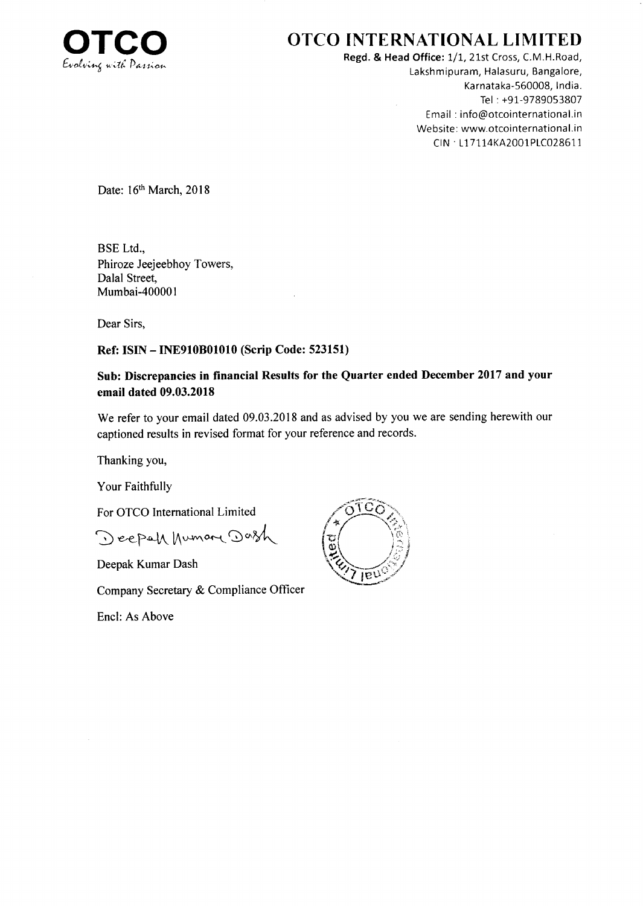

# OTCO INTERNATIONAL LIMITED

Regd. & Head Office: 1/1, 21st Cross, C.M.H.Road, Lakshmipuram, Halasuru, Bangalore, Karnataka-560008, lndia. Tel : +91-9789053807 Ema il : info@otcointernational.in Website: www.otcointernational.in CIN · L17114KA2001PLC028611

Date: 16th March, 2018

BSE Ltd., Phiroze Jeejeebhoy Towers, Dalal Street, Mumbai-400001

Dear Sirs,

## Ref: ISIN - INE910801010 (Scrip Code: 523151)

## Sub: Discrepancies in financial Results for the Quarter ended December 2017 and your email dated 09.03.2018

We refer to your email dated 09.03.2018 and as advised by you we are sending herewith our captioned results in revised format for your reference and records.

Thanking you,

Your Faithfully

For OTCO International Limited

Deepah human Dash (7)

Deepak Kumar Dash

Company Secretary & Compliance Officer

Encl: As Above

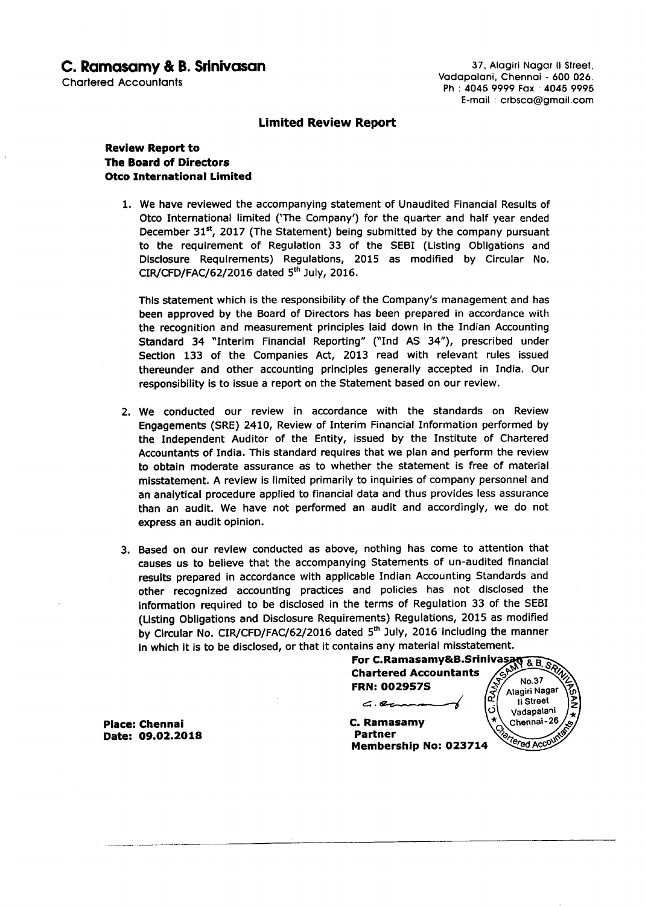## C. Ramasamy & B. Srinivasan

Chortered Accounlonls

37, Alagiri Nagar II Street, Vadapalani, Chennai - 600 026. Ph : 4045 9999 Fox : 4045 9995 E-moil : crbsco@gmoil.com

## **Limited Review Report**

### Review Report to The Board of Directors **Otco International Limited**

1. We have reviewed the accompanying statement of Unaudited Financial Results of Otco International limited ('The Company') for the quarter and half year ended December 31 $<sup>st</sup>$ , 2017 (The Statement) being submitted by the company pursuant</sup> to the requirement of Regulation 33 of the SEBI (Listing Obligations and Disclosure Requirements) Regulations, 2015 as modified by Circular No.  $CIR/CFD/FAC/62/2016$  dated  $5<sup>th</sup>$  July, 2016.

This statement which is the responsibility of the Company's management and has been approved by the Board of Directors has been prepared in accordance with the recognition and measurement principles laid down ln the Indian Accounting Standard 34 "Interim Financial Reporting" ("Ind AS 34"), prescribed under Section 133 of the Companies Act, 2013 read with relevant rules issued thereunder and other accounting principles generally accepted in India. Our responsibility is to issue a report on the Statement based on our review.

- 2. We conducted our review in accordance with the standards on Review Engagements (SRE) 2410, Review of Interim Financial Information performed by the Independent Auditor of the Entity, issued by the Institute of Chartered Accountants of India. This standard requires that we plan and peform the review to obtain moderate assurance as to whether the statement is free of material misstatement. A review is limited primarily to inquiries of company personnel and an analytical procedure applied to financial data and thus provides less assurance than an audit. We have not performed an audit and accordingly, we do not express an audit opinion.
- 3. Based on our review conducted as above, nothing has come to attention that causes us to believe that the accompanying Statements of un-audited financial results prepared in accordance with applicable Indian Accounting Standards and other recognized accounting practices and policies has not disclosed the information required to be disclosed in the terms of Regulation 33 of the SEBI (Listing Obligations and Disclosure Requirements) Regulations, 2OL5 as modified by Circular No. CIR/CFD/FAC/62/2016 dated 5<sup>th</sup> July, 2016 including the manner ln which it is to be disclosed, or that it contains any material misstatement.

For C.Ramasamy&B.Sri & Chartered Accountants FRN: OO29575

 $\epsilon$ .  $\epsilon$ 

Membership No: O237L4

C. Ramasamy Partner

No.37 Alagiri Nagar ll Street Vadapalani Chennai-26 Tered Acc

Place: Chennai Date: O9.O2.2O18